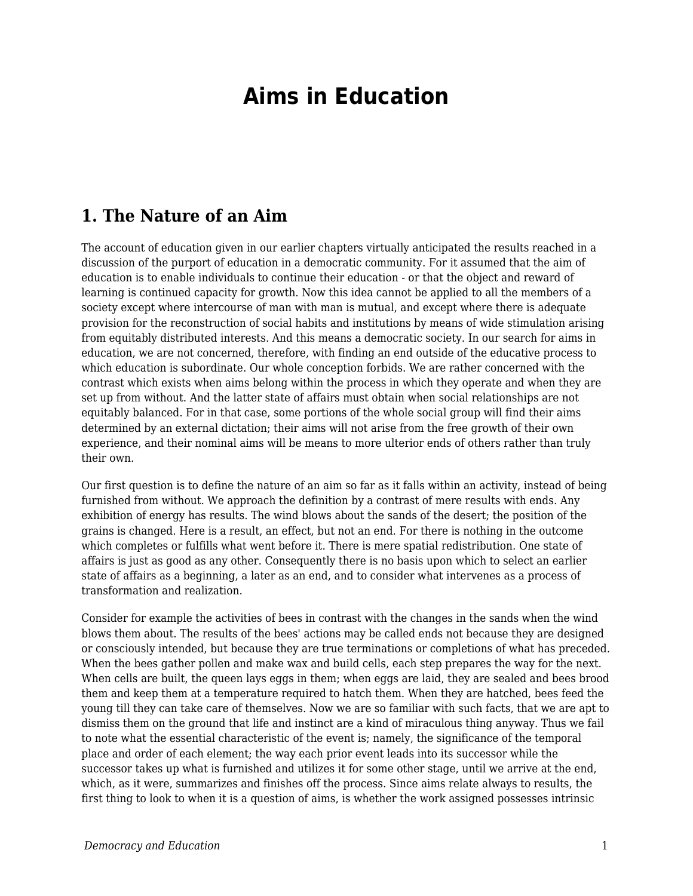# **Aims in Education**

#### **1. The Nature of an Aim**

The account of education given in our earlier chapters virtually anticipated the results reached in a discussion of the purport of education in a democratic community. For it assumed that the aim of education is to enable individuals to continue their education - or that the object and reward of learning is continued capacity for growth. Now this idea cannot be applied to all the members of a society except where intercourse of man with man is mutual, and except where there is adequate provision for the reconstruction of social habits and institutions by means of wide stimulation arising from equitably distributed interests. And this means a democratic society. In our search for aims in education, we are not concerned, therefore, with finding an end outside of the educative process to which education is subordinate. Our whole conception forbids. We are rather concerned with the contrast which exists when aims belong within the process in which they operate and when they are set up from without. And the latter state of affairs must obtain when social relationships are not equitably balanced. For in that case, some portions of the whole social group will find their aims determined by an external dictation; their aims will not arise from the free growth of their own experience, and their nominal aims will be means to more ulterior ends of others rather than truly their own.

Our first question is to define the nature of an aim so far as it falls within an activity, instead of being furnished from without. We approach the definition by a contrast of mere results with ends. Any exhibition of energy has results. The wind blows about the sands of the desert; the position of the grains is changed. Here is a result, an effect, but not an end. For there is nothing in the outcome which completes or fulfills what went before it. There is mere spatial redistribution. One state of affairs is just as good as any other. Consequently there is no basis upon which to select an earlier state of affairs as a beginning, a later as an end, and to consider what intervenes as a process of transformation and realization.

Consider for example the activities of bees in contrast with the changes in the sands when the wind blows them about. The results of the bees' actions may be called ends not because they are designed or consciously intended, but because they are true terminations or completions of what has preceded. When the bees gather pollen and make wax and build cells, each step prepares the way for the next. When cells are built, the queen lays eggs in them; when eggs are laid, they are sealed and bees brood them and keep them at a temperature required to hatch them. When they are hatched, bees feed the young till they can take care of themselves. Now we are so familiar with such facts, that we are apt to dismiss them on the ground that life and instinct are a kind of miraculous thing anyway. Thus we fail to note what the essential characteristic of the event is; namely, the significance of the temporal place and order of each element; the way each prior event leads into its successor while the successor takes up what is furnished and utilizes it for some other stage, until we arrive at the end, which, as it were, summarizes and finishes off the process. Since aims relate always to results, the first thing to look to when it is a question of aims, is whether the work assigned possesses intrinsic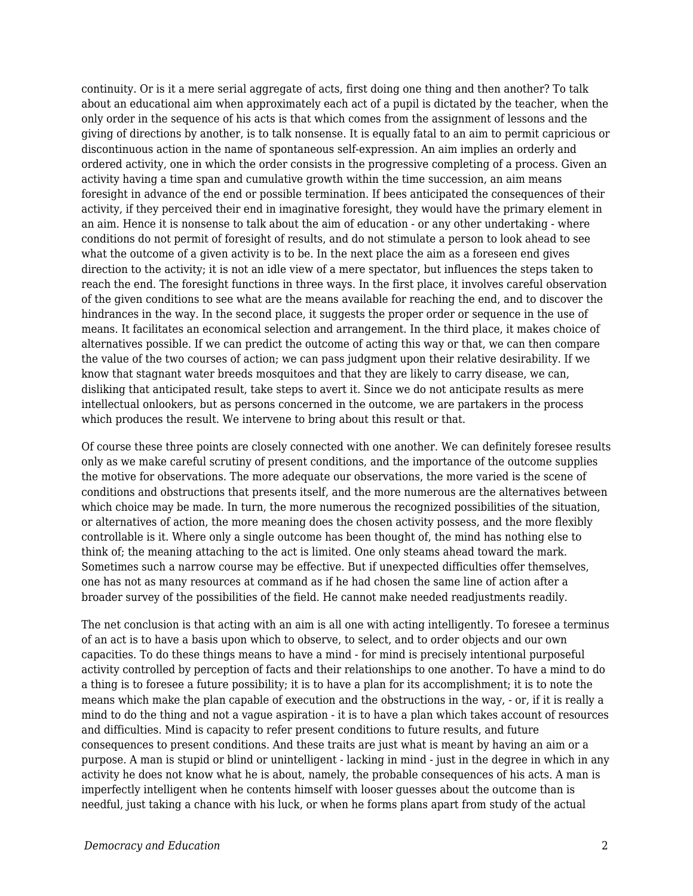continuity. Or is it a mere serial aggregate of acts, first doing one thing and then another? To talk about an educational aim when approximately each act of a pupil is dictated by the teacher, when the only order in the sequence of his acts is that which comes from the assignment of lessons and the giving of directions by another, is to talk nonsense. It is equally fatal to an aim to permit capricious or discontinuous action in the name of spontaneous self-expression. An aim implies an orderly and ordered activity, one in which the order consists in the progressive completing of a process. Given an activity having a time span and cumulative growth within the time succession, an aim means foresight in advance of the end or possible termination. If bees anticipated the consequences of their activity, if they perceived their end in imaginative foresight, they would have the primary element in an aim. Hence it is nonsense to talk about the aim of education - or any other undertaking - where conditions do not permit of foresight of results, and do not stimulate a person to look ahead to see what the outcome of a given activity is to be. In the next place the aim as a foreseen end gives direction to the activity; it is not an idle view of a mere spectator, but influences the steps taken to reach the end. The foresight functions in three ways. In the first place, it involves careful observation of the given conditions to see what are the means available for reaching the end, and to discover the hindrances in the way. In the second place, it suggests the proper order or sequence in the use of means. It facilitates an economical selection and arrangement. In the third place, it makes choice of alternatives possible. If we can predict the outcome of acting this way or that, we can then compare the value of the two courses of action; we can pass judgment upon their relative desirability. If we know that stagnant water breeds mosquitoes and that they are likely to carry disease, we can, disliking that anticipated result, take steps to avert it. Since we do not anticipate results as mere intellectual onlookers, but as persons concerned in the outcome, we are partakers in the process which produces the result. We intervene to bring about this result or that.

Of course these three points are closely connected with one another. We can definitely foresee results only as we make careful scrutiny of present conditions, and the importance of the outcome supplies the motive for observations. The more adequate our observations, the more varied is the scene of conditions and obstructions that presents itself, and the more numerous are the alternatives between which choice may be made. In turn, the more numerous the recognized possibilities of the situation, or alternatives of action, the more meaning does the chosen activity possess, and the more flexibly controllable is it. Where only a single outcome has been thought of, the mind has nothing else to think of; the meaning attaching to the act is limited. One only steams ahead toward the mark. Sometimes such a narrow course may be effective. But if unexpected difficulties offer themselves, one has not as many resources at command as if he had chosen the same line of action after a broader survey of the possibilities of the field. He cannot make needed readjustments readily.

The net conclusion is that acting with an aim is all one with acting intelligently. To foresee a terminus of an act is to have a basis upon which to observe, to select, and to order objects and our own capacities. To do these things means to have a mind - for mind is precisely intentional purposeful activity controlled by perception of facts and their relationships to one another. To have a mind to do a thing is to foresee a future possibility; it is to have a plan for its accomplishment; it is to note the means which make the plan capable of execution and the obstructions in the way, - or, if it is really a mind to do the thing and not a vague aspiration - it is to have a plan which takes account of resources and difficulties. Mind is capacity to refer present conditions to future results, and future consequences to present conditions. And these traits are just what is meant by having an aim or a purpose. A man is stupid or blind or unintelligent - lacking in mind - just in the degree in which in any activity he does not know what he is about, namely, the probable consequences of his acts. A man is imperfectly intelligent when he contents himself with looser guesses about the outcome than is needful, just taking a chance with his luck, or when he forms plans apart from study of the actual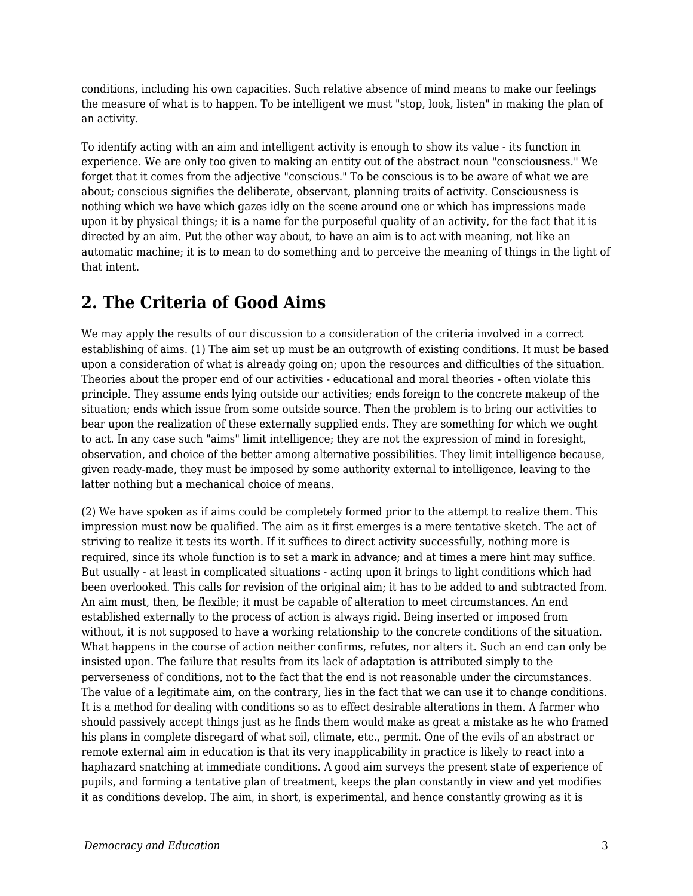conditions, including his own capacities. Such relative absence of mind means to make our feelings the measure of what is to happen. To be intelligent we must "stop, look, listen" in making the plan of an activity.

To identify acting with an aim and intelligent activity is enough to show its value - its function in experience. We are only too given to making an entity out of the abstract noun "consciousness." We forget that it comes from the adjective "conscious." To be conscious is to be aware of what we are about; conscious signifies the deliberate, observant, planning traits of activity. Consciousness is nothing which we have which gazes idly on the scene around one or which has impressions made upon it by physical things; it is a name for the purposeful quality of an activity, for the fact that it is directed by an aim. Put the other way about, to have an aim is to act with meaning, not like an automatic machine; it is to mean to do something and to perceive the meaning of things in the light of that intent.

## **2. The Criteria of Good Aims**

We may apply the results of our discussion to a consideration of the criteria involved in a correct establishing of aims. (1) The aim set up must be an outgrowth of existing conditions. It must be based upon a consideration of what is already going on; upon the resources and difficulties of the situation. Theories about the proper end of our activities - educational and moral theories - often violate this principle. They assume ends lying outside our activities; ends foreign to the concrete makeup of the situation; ends which issue from some outside source. Then the problem is to bring our activities to bear upon the realization of these externally supplied ends. They are something for which we ought to act. In any case such "aims" limit intelligence; they are not the expression of mind in foresight, observation, and choice of the better among alternative possibilities. They limit intelligence because, given ready-made, they must be imposed by some authority external to intelligence, leaving to the latter nothing but a mechanical choice of means.

(2) We have spoken as if aims could be completely formed prior to the attempt to realize them. This impression must now be qualified. The aim as it first emerges is a mere tentative sketch. The act of striving to realize it tests its worth. If it suffices to direct activity successfully, nothing more is required, since its whole function is to set a mark in advance; and at times a mere hint may suffice. But usually - at least in complicated situations - acting upon it brings to light conditions which had been overlooked. This calls for revision of the original aim; it has to be added to and subtracted from. An aim must, then, be flexible; it must be capable of alteration to meet circumstances. An end established externally to the process of action is always rigid. Being inserted or imposed from without, it is not supposed to have a working relationship to the concrete conditions of the situation. What happens in the course of action neither confirms, refutes, nor alters it. Such an end can only be insisted upon. The failure that results from its lack of adaptation is attributed simply to the perverseness of conditions, not to the fact that the end is not reasonable under the circumstances. The value of a legitimate aim, on the contrary, lies in the fact that we can use it to change conditions. It is a method for dealing with conditions so as to effect desirable alterations in them. A farmer who should passively accept things just as he finds them would make as great a mistake as he who framed his plans in complete disregard of what soil, climate, etc., permit. One of the evils of an abstract or remote external aim in education is that its very inapplicability in practice is likely to react into a haphazard snatching at immediate conditions. A good aim surveys the present state of experience of pupils, and forming a tentative plan of treatment, keeps the plan constantly in view and yet modifies it as conditions develop. The aim, in short, is experimental, and hence constantly growing as it is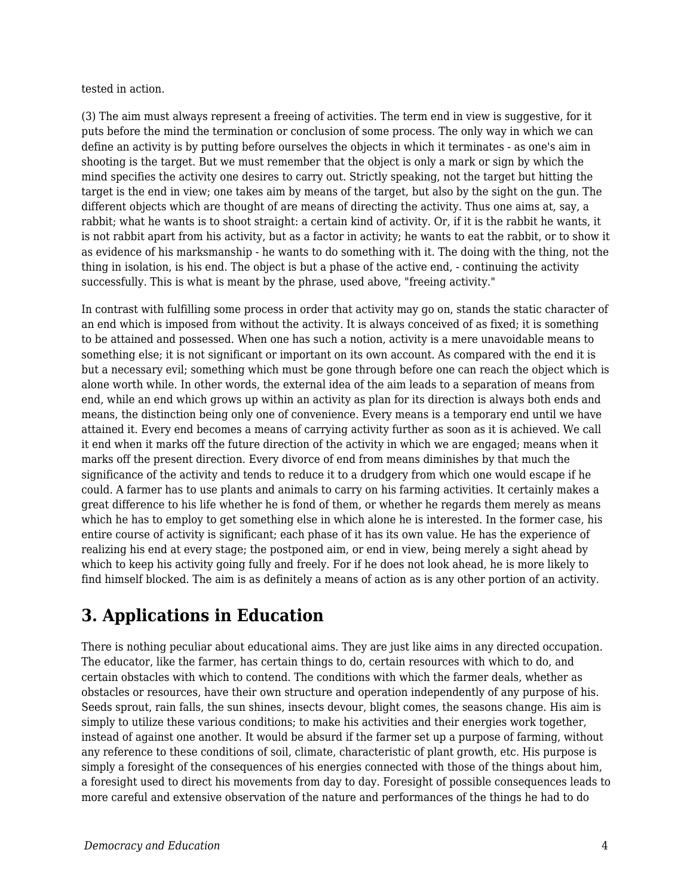tested in action.

(3) The aim must always represent a freeing of activities. The term end in view is suggestive, for it puts before the mind the termination or conclusion of some process. The only way in which we can define an activity is by putting before ourselves the objects in which it terminates - as one's aim in shooting is the target. But we must remember that the object is only a mark or sign by which the mind specifies the activity one desires to carry out. Strictly speaking, not the target but hitting the target is the end in view; one takes aim by means of the target, but also by the sight on the gun. The different objects which are thought of are means of directing the activity. Thus one aims at, say, a rabbit; what he wants is to shoot straight: a certain kind of activity. Or, if it is the rabbit he wants, it is not rabbit apart from his activity, but as a factor in activity; he wants to eat the rabbit, or to show it as evidence of his marksmanship - he wants to do something with it. The doing with the thing, not the thing in isolation, is his end. The object is but a phase of the active end, - continuing the activity successfully. This is what is meant by the phrase, used above, "freeing activity."

In contrast with fulfilling some process in order that activity may go on, stands the static character of an end which is imposed from without the activity. It is always conceived of as fixed; it is something to be attained and possessed. When one has such a notion, activity is a mere unavoidable means to something else; it is not significant or important on its own account. As compared with the end it is but a necessary evil; something which must be gone through before one can reach the object which is alone worth while. In other words, the external idea of the aim leads to a separation of means from end, while an end which grows up within an activity as plan for its direction is always both ends and means, the distinction being only one of convenience. Every means is a temporary end until we have attained it. Every end becomes a means of carrying activity further as soon as it is achieved. We call it end when it marks off the future direction of the activity in which we are engaged; means when it marks off the present direction. Every divorce of end from means diminishes by that much the significance of the activity and tends to reduce it to a drudgery from which one would escape if he could. A farmer has to use plants and animals to carry on his farming activities. It certainly makes a great difference to his life whether he is fond of them, or whether he regards them merely as means which he has to employ to get something else in which alone he is interested. In the former case, his entire course of activity is significant; each phase of it has its own value. He has the experience of realizing his end at every stage; the postponed aim, or end in view, being merely a sight ahead by which to keep his activity going fully and freely. For if he does not look ahead, he is more likely to find himself blocked. The aim is as definitely a means of action as is any other portion of an activity.

## **3. Applications in Education**

There is nothing peculiar about educational aims. They are just like aims in any directed occupation. The educator, like the farmer, has certain things to do, certain resources with which to do, and certain obstacles with which to contend. The conditions with which the farmer deals, whether as obstacles or resources, have their own structure and operation independently of any purpose of his. Seeds sprout, rain falls, the sun shines, insects devour, blight comes, the seasons change. His aim is simply to utilize these various conditions; to make his activities and their energies work together, instead of against one another. It would be absurd if the farmer set up a purpose of farming, without any reference to these conditions of soil, climate, characteristic of plant growth, etc. His purpose is simply a foresight of the consequences of his energies connected with those of the things about him, a foresight used to direct his movements from day to day. Foresight of possible consequences leads to more careful and extensive observation of the nature and performances of the things he had to do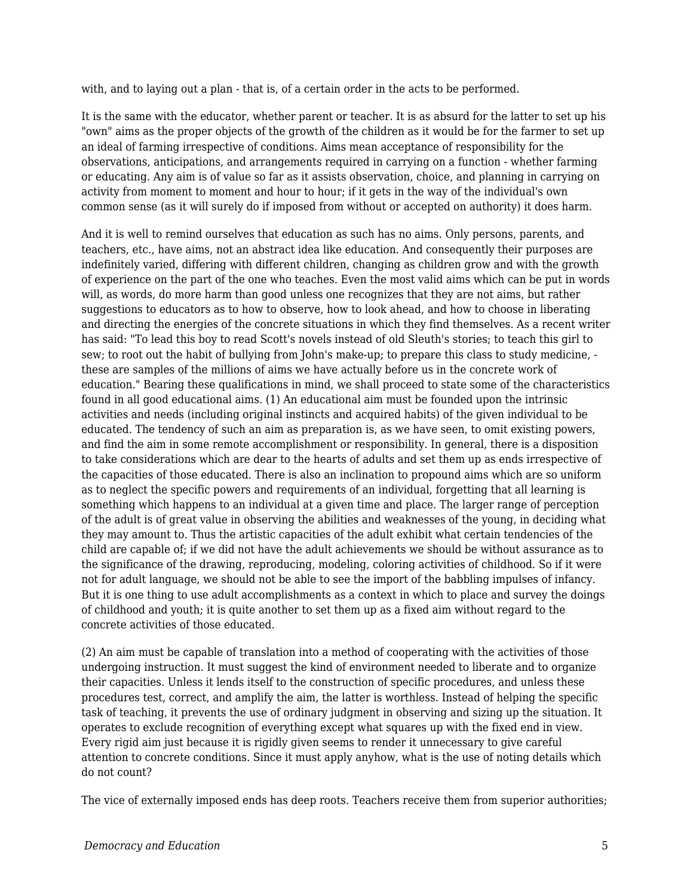with, and to laying out a plan - that is, of a certain order in the acts to be performed.

It is the same with the educator, whether parent or teacher. It is as absurd for the latter to set up his "own" aims as the proper objects of the growth of the children as it would be for the farmer to set up an ideal of farming irrespective of conditions. Aims mean acceptance of responsibility for the observations, anticipations, and arrangements required in carrying on a function - whether farming or educating. Any aim is of value so far as it assists observation, choice, and planning in carrying on activity from moment to moment and hour to hour; if it gets in the way of the individual's own common sense (as it will surely do if imposed from without or accepted on authority) it does harm.

And it is well to remind ourselves that education as such has no aims. Only persons, parents, and teachers, etc., have aims, not an abstract idea like education. And consequently their purposes are indefinitely varied, differing with different children, changing as children grow and with the growth of experience on the part of the one who teaches. Even the most valid aims which can be put in words will, as words, do more harm than good unless one recognizes that they are not aims, but rather suggestions to educators as to how to observe, how to look ahead, and how to choose in liberating and directing the energies of the concrete situations in which they find themselves. As a recent writer has said: "To lead this boy to read Scott's novels instead of old Sleuth's stories; to teach this girl to sew; to root out the habit of bullying from John's make-up; to prepare this class to study medicine, these are samples of the millions of aims we have actually before us in the concrete work of education." Bearing these qualifications in mind, we shall proceed to state some of the characteristics found in all good educational aims. (1) An educational aim must be founded upon the intrinsic activities and needs (including original instincts and acquired habits) of the given individual to be educated. The tendency of such an aim as preparation is, as we have seen, to omit existing powers, and find the aim in some remote accomplishment or responsibility. In general, there is a disposition to take considerations which are dear to the hearts of adults and set them up as ends irrespective of the capacities of those educated. There is also an inclination to propound aims which are so uniform as to neglect the specific powers and requirements of an individual, forgetting that all learning is something which happens to an individual at a given time and place. The larger range of perception of the adult is of great value in observing the abilities and weaknesses of the young, in deciding what they may amount to. Thus the artistic capacities of the adult exhibit what certain tendencies of the child are capable of; if we did not have the adult achievements we should be without assurance as to the significance of the drawing, reproducing, modeling, coloring activities of childhood. So if it were not for adult language, we should not be able to see the import of the babbling impulses of infancy. But it is one thing to use adult accomplishments as a context in which to place and survey the doings of childhood and youth; it is quite another to set them up as a fixed aim without regard to the concrete activities of those educated.

(2) An aim must be capable of translation into a method of cooperating with the activities of those undergoing instruction. It must suggest the kind of environment needed to liberate and to organize their capacities. Unless it lends itself to the construction of specific procedures, and unless these procedures test, correct, and amplify the aim, the latter is worthless. Instead of helping the specific task of teaching, it prevents the use of ordinary judgment in observing and sizing up the situation. It operates to exclude recognition of everything except what squares up with the fixed end in view. Every rigid aim just because it is rigidly given seems to render it unnecessary to give careful attention to concrete conditions. Since it must apply anyhow, what is the use of noting details which do not count?

The vice of externally imposed ends has deep roots. Teachers receive them from superior authorities;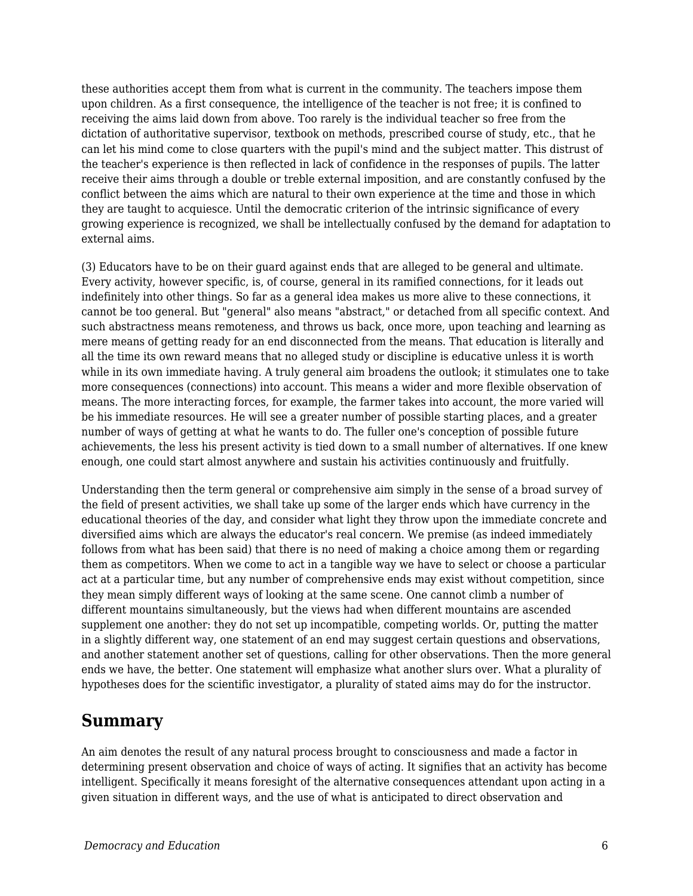these authorities accept them from what is current in the community. The teachers impose them upon children. As a first consequence, the intelligence of the teacher is not free; it is confined to receiving the aims laid down from above. Too rarely is the individual teacher so free from the dictation of authoritative supervisor, textbook on methods, prescribed course of study, etc., that he can let his mind come to close quarters with the pupil's mind and the subject matter. This distrust of the teacher's experience is then reflected in lack of confidence in the responses of pupils. The latter receive their aims through a double or treble external imposition, and are constantly confused by the conflict between the aims which are natural to their own experience at the time and those in which they are taught to acquiesce. Until the democratic criterion of the intrinsic significance of every growing experience is recognized, we shall be intellectually confused by the demand for adaptation to external aims.

(3) Educators have to be on their guard against ends that are alleged to be general and ultimate. Every activity, however specific, is, of course, general in its ramified connections, for it leads out indefinitely into other things. So far as a general idea makes us more alive to these connections, it cannot be too general. But "general" also means "abstract," or detached from all specific context. And such abstractness means remoteness, and throws us back, once more, upon teaching and learning as mere means of getting ready for an end disconnected from the means. That education is literally and all the time its own reward means that no alleged study or discipline is educative unless it is worth while in its own immediate having. A truly general aim broadens the outlook; it stimulates one to take more consequences (connections) into account. This means a wider and more flexible observation of means. The more interacting forces, for example, the farmer takes into account, the more varied will be his immediate resources. He will see a greater number of possible starting places, and a greater number of ways of getting at what he wants to do. The fuller one's conception of possible future achievements, the less his present activity is tied down to a small number of alternatives. If one knew enough, one could start almost anywhere and sustain his activities continuously and fruitfully.

Understanding then the term general or comprehensive aim simply in the sense of a broad survey of the field of present activities, we shall take up some of the larger ends which have currency in the educational theories of the day, and consider what light they throw upon the immediate concrete and diversified aims which are always the educator's real concern. We premise (as indeed immediately follows from what has been said) that there is no need of making a choice among them or regarding them as competitors. When we come to act in a tangible way we have to select or choose a particular act at a particular time, but any number of comprehensive ends may exist without competition, since they mean simply different ways of looking at the same scene. One cannot climb a number of different mountains simultaneously, but the views had when different mountains are ascended supplement one another: they do not set up incompatible, competing worlds. Or, putting the matter in a slightly different way, one statement of an end may suggest certain questions and observations, and another statement another set of questions, calling for other observations. Then the more general ends we have, the better. One statement will emphasize what another slurs over. What a plurality of hypotheses does for the scientific investigator, a plurality of stated aims may do for the instructor.

### **Summary**

An aim denotes the result of any natural process brought to consciousness and made a factor in determining present observation and choice of ways of acting. It signifies that an activity has become intelligent. Specifically it means foresight of the alternative consequences attendant upon acting in a given situation in different ways, and the use of what is anticipated to direct observation and